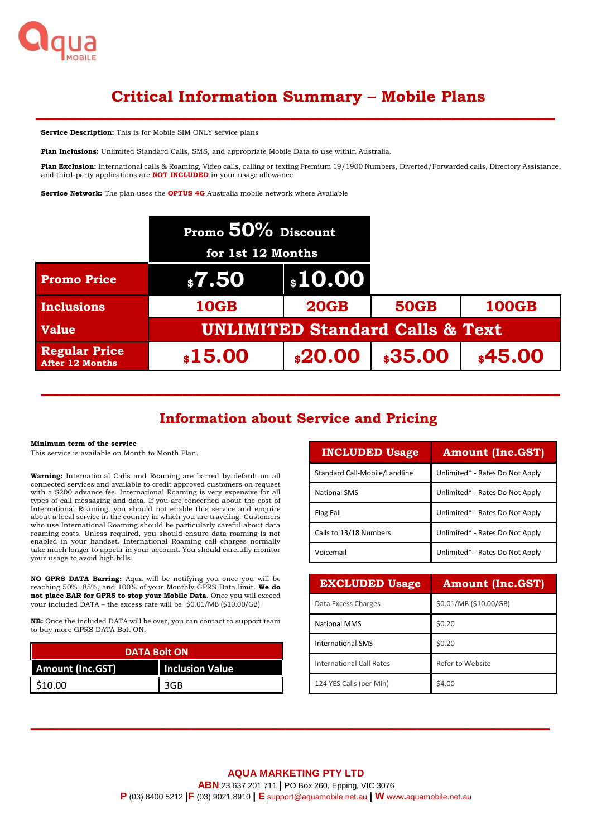

# **Critical Information Summary – Mobile Plans**

**––––––––––––––––––––––––––––––––––––––––––––––––––––––– Service Description:** This is for Mobile SIM ONLY service plans

**Plan Inclusions:** Unlimited Standard Calls, SMS, and appropriate Mobile Data to use within Australia.

**Plan Exclusion:** International calls & Roaming, Video calls, calling or texting Premium 19/1900 Numbers, Diverted/Forwarded calls, Directory Assistance, and third-party applications are **NOT INCLUDED** in your usage allowance

**Service Network:** The plan uses the **OPTUS 4G** Australia mobile network where Available

|                                         | Promo $50\%$ Discount                      |             |             |              |
|-----------------------------------------|--------------------------------------------|-------------|-------------|--------------|
|                                         | for 1st 12 Months                          |             |             |              |
| <b>Promo Price</b>                      | \$7.50                                     |             |             |              |
| <b>Inclusions</b>                       | <b>10GB</b>                                | <b>20GB</b> | <b>50GB</b> | <b>100GB</b> |
| <b>Value</b>                            | <b>UNLIMITED Standard Calls &amp; Text</b> |             |             |              |
| <b>Regular Price</b><br>After 12 Months | \$15.00                                    | \$20.00     | \$35.00     | \$45.00      |

# **Information about Service and Pricing**

**–––––––––––––––––––––––––––––––––––––––––––––––––––––––**

#### **Minimum term of the service**

This service is available on Month to Month Plan.

**Warning:** International Calls and Roaming are barred by default on all connected services and available to credit approved customers on request with a \$200 advance fee. International Roaming is very expensive for all types of call messaging and data. If you are concerned about the cost of International Roaming, you should not enable this service and enquire about a local service in the country in which you are traveling. Customers who use International Roaming should be particularly careful about data roaming costs. Unless required, you should ensure data roaming is not enabled in your handset. International Roaming call charges normally take much longer to appear in your account. You should carefully monitor your usage to avoid high bills.

**NO GPRS DATA Barring:** Aqua will be notifying you once you will be reaching 50%, 85%, and 100% of your Monthly GPRS Data limit. **We do not place BAR for GPRS to stop your Mobile Data**. Once you will exceed your included DATA – the excess rate will be \$0.01/MB (\$10.00/GB)

**NB:** Once the included DATA will be over, you can contact to support team to buy more GPRS DATA Bolt ON.

| <b>DATA Bolt ON</b>     |                        |  |
|-------------------------|------------------------|--|
| <b>Amount (Inc.GST)</b> | <b>Inclusion Value</b> |  |
| \$10.00                 | 3GB                    |  |

| <b>INCLUDED Usage</b>         | <b>Amount (Inc.GST)</b>         |  |
|-------------------------------|---------------------------------|--|
| Standard Call-Mobile/Landline | Unlimited* - Rates Do Not Apply |  |
| <b>National SMS</b>           | Unlimited* - Rates Do Not Apply |  |
| Flag Fall                     | Unlimited* - Rates Do Not Apply |  |
| Calls to 13/18 Numbers        | Unlimited* - Rates Do Not Apply |  |
| Voicemail                     | Unlimited* - Rates Do Not Apply |  |

| <b>EXCLUDED Usage</b>           | <b>Amount (Inc.GST)</b> |
|---------------------------------|-------------------------|
| Data Excess Charges             | \$0.01/MB (\$10.00/GB)  |
| <b>National MMS</b>             | \$0.20                  |
| <b>International SMS</b>        | \$0.20                  |
| <b>International Call Rates</b> | Refer to Website        |
| 124 YES Calls (per Min)         | \$4.00                  |

**–––––––––––––––––––––––––––––––––––––––––––––––––––––––**